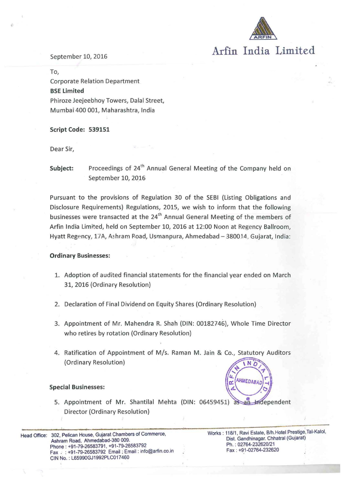

# Arfin India Limited

### September 10, 2016

To, Corporate Relation Department BSE Limited Phiroze Jeejeebhoy Towers, Dalal Street, Mumbai 400 001, Maharashtra, India

Script Code: 539151

Dear Sir,

**Subject:** Proceedings of  $24<sup>th</sup>$  Annual General Meeting of the Company held on September 10, 2016

Pursuant to the provisions of Regulation 30 of the SEBI (Listing Obligations and Disclosure Requirements) Regulations, 2015, we wish to inform that the following businesses were transacted at the 24<sup>th</sup> Annual General Meeting of the members of Arfin India Limited, held on September 10, 2016 at 12:00 Noon at Regency Ballroom, Hyatt Regency, 17A, Ashram Road, Usmanpura, Ahmedabad - 380014, Gujarat, India:

#### Ordinary Businesses:

- 1. Adoption of audited financial statements for the financial year ended on March 31, 2016 (Ordinary Resolution)
- 2. Declaration of Final Dividend on Equity Shares (Ordinary Resolution)
- 3. Appointment of Mr. Mahendra R. Shah (DIN: 00182746), Whole Time Director who retires by rotation (Ordinary Resolution)
- 4. Ratification of Appointment of M/s. Raman M. Jain & Co., Statutory Auditors (Ordinary Resolution)

#### Special Businesses:

5. Appointment of Mr. Shantilal Mehta (DIN: 06459451) as an Independent Director (Ordinary Resolution)

Head Office: 302, Pelican House, Gujarat Chambers of Commerce, Ashram Road, Ahmedabad-380 009. Phone : +91-79-26583791, +91-79-26583792 Fax : : +91-79-26583792 Email: Email: info@arfin.co.in CIN No. : L65990GJ 1992PLC017 460

Works: 118/1, Ravi Estate, B/h.Hotel Prestige, Tal-Kalol, Dist. Gandhinagar. Chhatral (Gujarat) Ph.: 02764-232620/21 Fax : +91-02764-232620

AHMEDABA